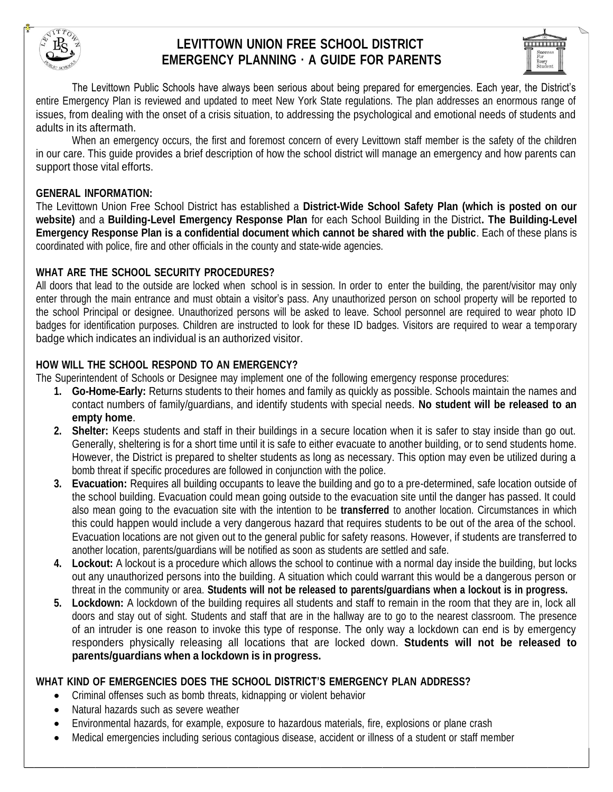

# **LEVITTOWN UNION FREE SCHOOL DISTRICT EMERGENCY PLANNING ∙ A GUIDE FOR PARENTS**



The Levittown Public Schools have always been serious about being prepared for emergencies. Each year, the District's entire Emergency Plan is reviewed and updated to meet New York State regulations. The plan addresses an enormous range of issues, from dealing with the onset of a crisis situation, to addressing the psychological and emotional needs of students and adults in its aftermath.

When an emergency occurs, the first and foremost concern of every Levittown staff member is the safety of the children in our care. This guide provides a brief description of how the school district will manage an emergency and how parents can support those vital efforts.

#### **GENERAL INFORMATION:**

The Levittown Union Free School District has established a **District-Wide School Safety Plan (which is posted on our website)** and a **Building-Level Emergency Response Plan** for each School Building in the District**. The Building-Level Emergency Response Plan is a confidential document which cannot be shared with the public**. Each of these plans is coordinated with police, fire and other officials in the county and state-wide agencies.

### **WHAT ARE THE SCHOOL SECURITY PROCEDURES?**

All doors that lead to the outside are locked when school is in session. In order to enter the building, the parent/visitor may only enter through the main entrance and must obtain a visitor's pass. Any unauthorized person on school property will be reported to the school Principal or designee. Unauthorized persons will be asked to leave. School personnel are required to wear photo ID badges for identification purposes. Children are instructed to look for these ID badges. Visitors are required to wear a temporary badge which indicates an individual is an authorized visitor.

# **HOW WILL THE SCHOOL RESPOND TO AN EMERGENCY?**

The Superintendent of Schools or Designee may implement one of the following emergency response procedures:

- **1. Go-Home-Early:** Returns students to their homes and family as quickly as possible. Schools maintain the names and contact numbers of family/guardians, and identify students with special needs. **No student will be released to an empty home**.
- **2. Shelter:** Keeps students and staff in their buildings in a secure location when it is safer to stay inside than go out. Generally, sheltering is for a short time until it is safe to either evacuate to another building, or to send students home. However, the District is prepared to shelter students as long as necessary. This option may even be utilized during a bomb threat if specific procedures are followed in conjunction with the police.
- **3. Evacuation:** Requires all building occupants to leave the building and go to a pre-determined, safe location outside of the school building. Evacuation could mean going outside to the evacuation site until the danger has passed. It could also mean going to the evacuation site with the intention to be **transferred** to another location. Circumstances in which this could happen would include a very dangerous hazard that requires students to be out of the area of the school. Evacuation locations are not given out to the general public for safety reasons. However, if students are transferred to another location, parents/guardians will be notified as soon as students are settled and safe.
- **4. Lockout:** A lockout is a procedure which allows the school to continue with a normal day inside the building, but locks out any unauthorized persons into the building. A situation which could warrant this would be a dangerous person or threat in the community or area. **Students will not be released to parents/guardians when a lockout is in progress.**
- **5. Lockdown:** A lockdown of the building requires all students and staff to remain in the room that they are in, lock all doors and stay out of sight. Students and staff that are in the hallway are to go to the nearest classroom. The presence of an intruder is one reason to invoke this type of response. The only way a lockdown can end is by emergency responders physically releasing all locations that are locked down. **Students will not be released to parents/guardians when a lockdown is in progress.**

### **WHAT KIND OF EMERGENCIES DOES THE SCHOOL DISTRICT'S EMERGENCY PLAN ADDRESS?**

- Criminal offenses such as bomb threats, kidnapping or violent behavior
- Natural hazards such as severe weather
- Environmental hazards, for example, exposure to hazardous materials, fire, explosions or plane crash
- Medical emergencies including serious contagious disease, accident or illness of a student or staff member